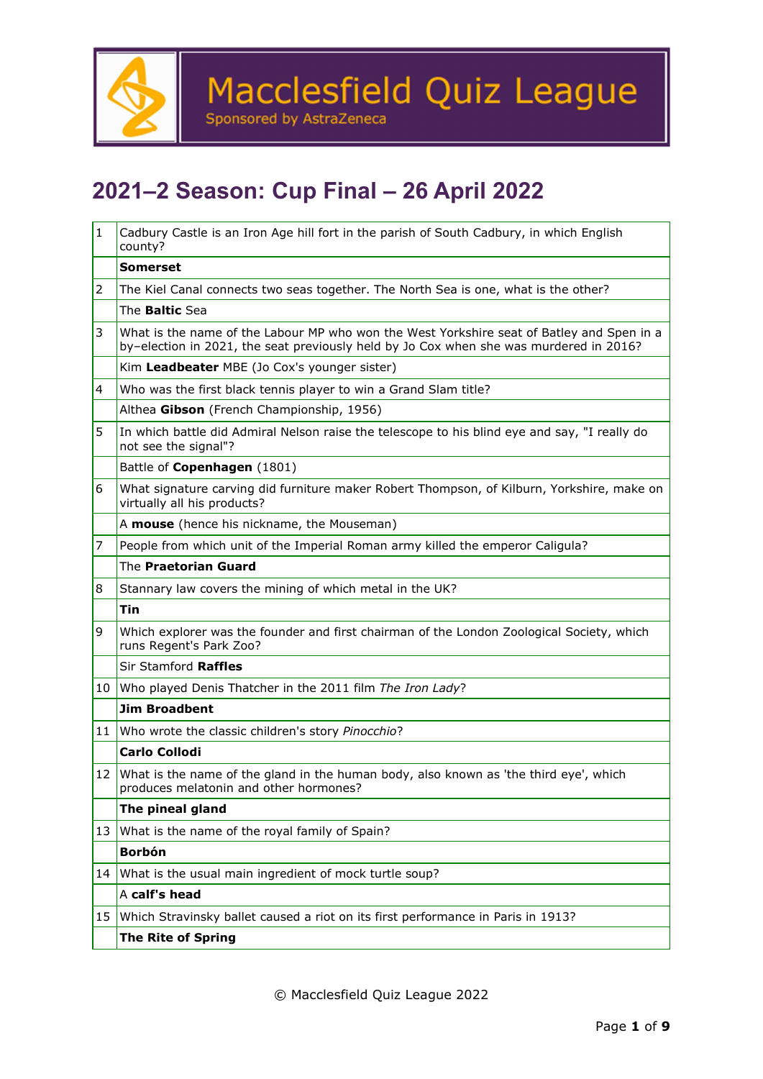

### **2021–2 Season: Cup Final – 26 April 2022**

| $\mathbf{1}$ | Cadbury Castle is an Iron Age hill fort in the parish of South Cadbury, in which English<br>county?                                                                                 |  |  |
|--------------|-------------------------------------------------------------------------------------------------------------------------------------------------------------------------------------|--|--|
|              | <b>Somerset</b>                                                                                                                                                                     |  |  |
| 2            | The Kiel Canal connects two seas together. The North Sea is one, what is the other?                                                                                                 |  |  |
|              | The <b>Baltic</b> Sea                                                                                                                                                               |  |  |
| 3            | What is the name of the Labour MP who won the West Yorkshire seat of Batley and Spen in a<br>by-election in 2021, the seat previously held by Jo Cox when she was murdered in 2016? |  |  |
|              | Kim Leadbeater MBE (Jo Cox's younger sister)                                                                                                                                        |  |  |
| 4            | Who was the first black tennis player to win a Grand Slam title?                                                                                                                    |  |  |
|              | Althea Gibson (French Championship, 1956)                                                                                                                                           |  |  |
| 5            | In which battle did Admiral Nelson raise the telescope to his blind eye and say, "I really do<br>not see the signal"?                                                               |  |  |
|              | Battle of Copenhagen (1801)                                                                                                                                                         |  |  |
| 6            | What signature carving did furniture maker Robert Thompson, of Kilburn, Yorkshire, make on<br>virtually all his products?                                                           |  |  |
|              | A mouse (hence his nickname, the Mouseman)                                                                                                                                          |  |  |
| 7            | People from which unit of the Imperial Roman army killed the emperor Caligula?                                                                                                      |  |  |
|              | The Praetorian Guard                                                                                                                                                                |  |  |
| 8            | Stannary law covers the mining of which metal in the UK?                                                                                                                            |  |  |
|              | Tin                                                                                                                                                                                 |  |  |
| 9            | Which explorer was the founder and first chairman of the London Zoological Society, which<br>runs Regent's Park Zoo?                                                                |  |  |
|              | Sir Stamford Raffles                                                                                                                                                                |  |  |
| 10           | Who played Denis Thatcher in the 2011 film The Iron Lady?                                                                                                                           |  |  |
|              | <b>Jim Broadbent</b>                                                                                                                                                                |  |  |
|              | 11 Who wrote the classic children's story Pinocchio?                                                                                                                                |  |  |
|              | <b>Carlo Collodi</b>                                                                                                                                                                |  |  |
|              | 12 What is the name of the gland in the human body, also known as 'the third eye', which<br>produces melatonin and other hormones?                                                  |  |  |
|              | The pineal gland                                                                                                                                                                    |  |  |
| 13           | What is the name of the royal family of Spain?                                                                                                                                      |  |  |
|              | <b>Borbón</b>                                                                                                                                                                       |  |  |
| 14           | What is the usual main ingredient of mock turtle soup?                                                                                                                              |  |  |
|              | A calf's head                                                                                                                                                                       |  |  |
| 15           | Which Stravinsky ballet caused a riot on its first performance in Paris in 1913?                                                                                                    |  |  |
|              | <b>The Rite of Spring</b>                                                                                                                                                           |  |  |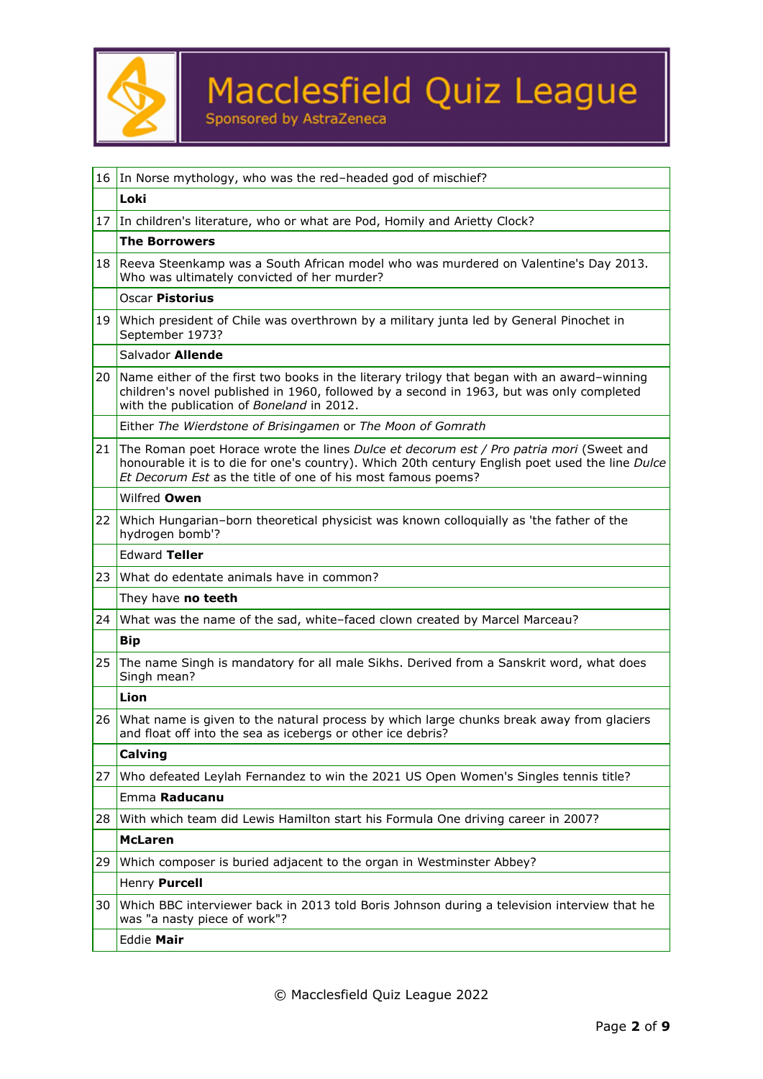

|                                                                             | 16 In Norse mythology, who was the red-headed god of mischief?                                                                                                                                                                                             |  |  |
|-----------------------------------------------------------------------------|------------------------------------------------------------------------------------------------------------------------------------------------------------------------------------------------------------------------------------------------------------|--|--|
|                                                                             | Loki                                                                                                                                                                                                                                                       |  |  |
| 17 In children's literature, who or what are Pod, Homily and Arietty Clock? |                                                                                                                                                                                                                                                            |  |  |
|                                                                             | <b>The Borrowers</b>                                                                                                                                                                                                                                       |  |  |
| 18                                                                          | Reeva Steenkamp was a South African model who was murdered on Valentine's Day 2013.<br>Who was ultimately convicted of her murder?                                                                                                                         |  |  |
|                                                                             | <b>Oscar Pistorius</b>                                                                                                                                                                                                                                     |  |  |
| 19                                                                          | Which president of Chile was overthrown by a military junta led by General Pinochet in<br>September 1973?                                                                                                                                                  |  |  |
|                                                                             | Salvador Allende                                                                                                                                                                                                                                           |  |  |
| 20                                                                          | Name either of the first two books in the literary trilogy that began with an award-winning<br>children's novel published in 1960, followed by a second in 1963, but was only completed<br>with the publication of Boneland in 2012.                       |  |  |
|                                                                             | Either The Wierdstone of Brisingamen or The Moon of Gomrath                                                                                                                                                                                                |  |  |
| 21                                                                          | The Roman poet Horace wrote the lines Dulce et decorum est / Pro patria mori (Sweet and<br>honourable it is to die for one's country). Which 20th century English poet used the line Dulce<br>Et Decorum Est as the title of one of his most famous poems? |  |  |
|                                                                             | Wilfred Owen                                                                                                                                                                                                                                               |  |  |
| 22                                                                          | Which Hungarian-born theoretical physicist was known colloquially as 'the father of the<br>hydrogen bomb'?                                                                                                                                                 |  |  |
|                                                                             | <b>Edward Teller</b>                                                                                                                                                                                                                                       |  |  |
| 23                                                                          | What do edentate animals have in common?                                                                                                                                                                                                                   |  |  |
|                                                                             | They have no teeth                                                                                                                                                                                                                                         |  |  |
| 24                                                                          | What was the name of the sad, white-faced clown created by Marcel Marceau?                                                                                                                                                                                 |  |  |
|                                                                             | <b>Bip</b>                                                                                                                                                                                                                                                 |  |  |
| 25                                                                          | The name Singh is mandatory for all male Sikhs. Derived from a Sanskrit word, what does<br>Singh mean?                                                                                                                                                     |  |  |
|                                                                             | Lion                                                                                                                                                                                                                                                       |  |  |
|                                                                             | 26 What name is given to the natural process by which large chunks break away from glaciers<br>and float off into the sea as icebergs or other ice debris?                                                                                                 |  |  |
|                                                                             | Calving                                                                                                                                                                                                                                                    |  |  |
| 27                                                                          | Who defeated Leylah Fernandez to win the 2021 US Open Women's Singles tennis title?                                                                                                                                                                        |  |  |
|                                                                             | Emma Raducanu                                                                                                                                                                                                                                              |  |  |
| 28                                                                          | With which team did Lewis Hamilton start his Formula One driving career in 2007?                                                                                                                                                                           |  |  |
|                                                                             | <b>McLaren</b>                                                                                                                                                                                                                                             |  |  |
| 29                                                                          | Which composer is buried adjacent to the organ in Westminster Abbey?                                                                                                                                                                                       |  |  |
|                                                                             | Henry Purcell                                                                                                                                                                                                                                              |  |  |
| 30                                                                          | Which BBC interviewer back in 2013 told Boris Johnson during a television interview that he<br>was "a nasty piece of work"?                                                                                                                                |  |  |
|                                                                             | Eddie Mair                                                                                                                                                                                                                                                 |  |  |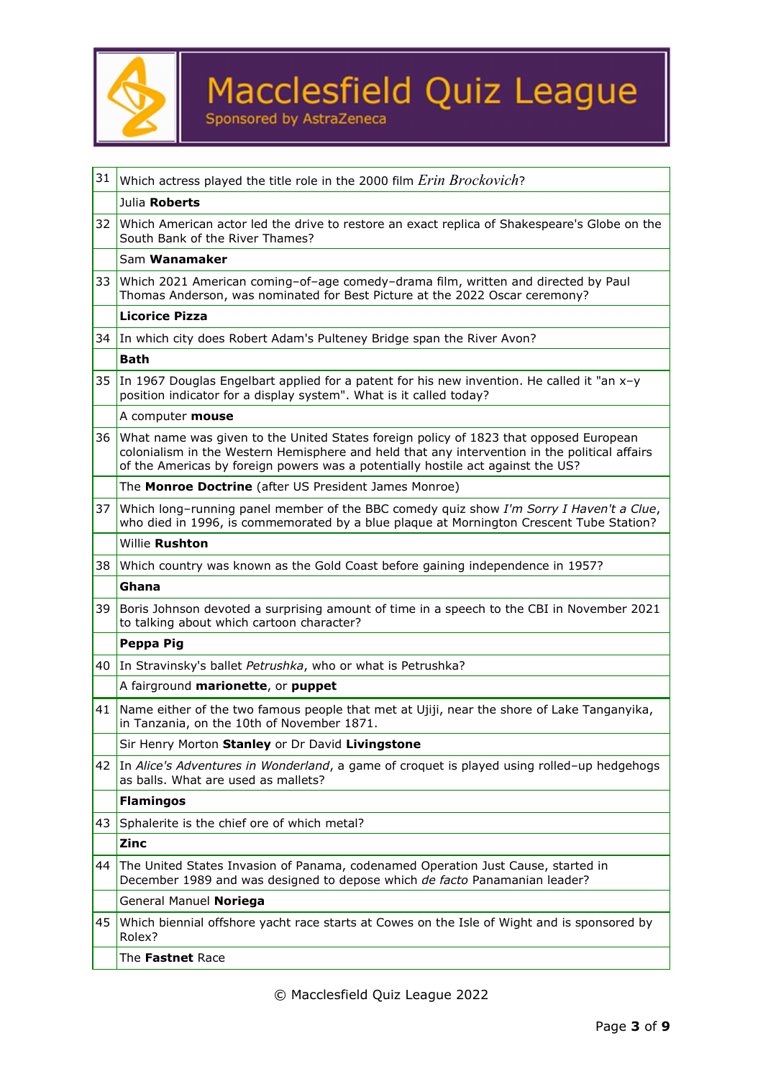

| 31 | Which actress played the title role in the 2000 film Erin Brockovich?                                                                                                                                                                                                     |  |  |  |
|----|---------------------------------------------------------------------------------------------------------------------------------------------------------------------------------------------------------------------------------------------------------------------------|--|--|--|
|    | Julia Roberts                                                                                                                                                                                                                                                             |  |  |  |
| 32 | Which American actor led the drive to restore an exact replica of Shakespeare's Globe on the<br>South Bank of the River Thames?                                                                                                                                           |  |  |  |
|    | Sam Wanamaker                                                                                                                                                                                                                                                             |  |  |  |
| 33 | Which 2021 American coming-of-age comedy-drama film, written and directed by Paul<br>Thomas Anderson, was nominated for Best Picture at the 2022 Oscar ceremony?                                                                                                          |  |  |  |
|    | <b>Licorice Pizza</b>                                                                                                                                                                                                                                                     |  |  |  |
|    | 34 In which city does Robert Adam's Pulteney Bridge span the River Avon?                                                                                                                                                                                                  |  |  |  |
|    | <b>Bath</b>                                                                                                                                                                                                                                                               |  |  |  |
|    | 35 In 1967 Douglas Engelbart applied for a patent for his new invention. He called it "an x-y"<br>position indicator for a display system". What is it called today?                                                                                                      |  |  |  |
|    | A computer <b>mouse</b>                                                                                                                                                                                                                                                   |  |  |  |
| 36 | What name was given to the United States foreign policy of 1823 that opposed European<br>colonialism in the Western Hemisphere and held that any intervention in the political affairs<br>of the Americas by foreign powers was a potentially hostile act against the US? |  |  |  |
|    | The Monroe Doctrine (after US President James Monroe)                                                                                                                                                                                                                     |  |  |  |
| 37 | Which long-running panel member of the BBC comedy quiz show I'm Sorry I Haven't a Clue,<br>who died in 1996, is commemorated by a blue plaque at Mornington Crescent Tube Station?                                                                                        |  |  |  |
|    | Willie Rushton                                                                                                                                                                                                                                                            |  |  |  |
| 38 | Which country was known as the Gold Coast before gaining independence in 1957?                                                                                                                                                                                            |  |  |  |
|    | Ghana                                                                                                                                                                                                                                                                     |  |  |  |
| 39 | Boris Johnson devoted a surprising amount of time in a speech to the CBI in November 2021<br>to talking about which cartoon character?                                                                                                                                    |  |  |  |
|    | Peppa Pig                                                                                                                                                                                                                                                                 |  |  |  |
| 40 | In Stravinsky's ballet Petrushka, who or what is Petrushka?                                                                                                                                                                                                               |  |  |  |
|    | A fairground marionette, or puppet                                                                                                                                                                                                                                        |  |  |  |
| 41 | Name either of the two famous people that met at Ujiji, near the shore of Lake Tanganyika,<br>in Tanzania, on the 10th of November 1871.                                                                                                                                  |  |  |  |
|    | Sir Henry Morton Stanley or Dr David Livingstone                                                                                                                                                                                                                          |  |  |  |
|    | 42 In Alice's Adventures in Wonderland, a game of croquet is played using rolled-up hedgehogs<br>as balls. What are used as mallets?                                                                                                                                      |  |  |  |
|    | <b>Flamingos</b>                                                                                                                                                                                                                                                          |  |  |  |
| 43 | Sphalerite is the chief ore of which metal?                                                                                                                                                                                                                               |  |  |  |
|    | Zinc                                                                                                                                                                                                                                                                      |  |  |  |
| 44 |                                                                                                                                                                                                                                                                           |  |  |  |
|    | The United States Invasion of Panama, codenamed Operation Just Cause, started in<br>December 1989 and was designed to depose which de facto Panamanian leader?                                                                                                            |  |  |  |
|    | General Manuel Noriega                                                                                                                                                                                                                                                    |  |  |  |
| 45 | Which biennial offshore yacht race starts at Cowes on the Isle of Wight and is sponsored by<br>Rolex?                                                                                                                                                                     |  |  |  |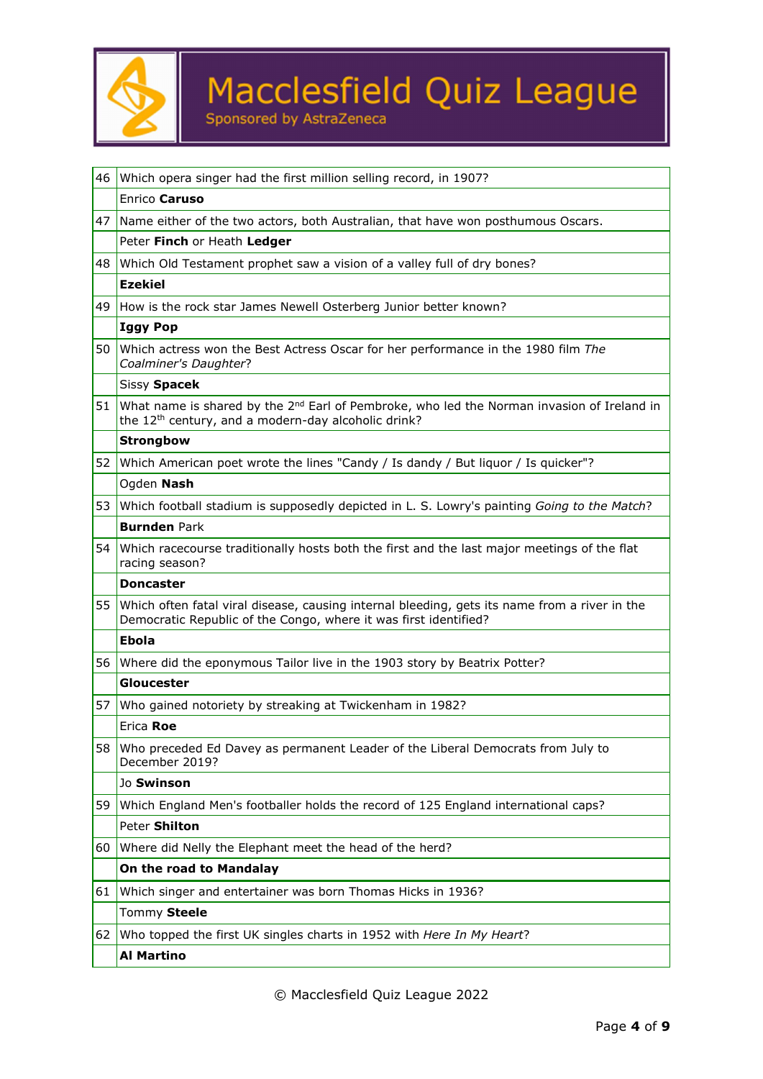

|                                                                             | 46 Which opera singer had the first million selling record, in 1907?                                                                                                  |  |  |
|-----------------------------------------------------------------------------|-----------------------------------------------------------------------------------------------------------------------------------------------------------------------|--|--|
|                                                                             | Enrico Caruso                                                                                                                                                         |  |  |
|                                                                             | 47 Name either of the two actors, both Australian, that have won posthumous Oscars.                                                                                   |  |  |
|                                                                             | Peter Finch or Heath Ledger                                                                                                                                           |  |  |
| 48                                                                          | Which Old Testament prophet saw a vision of a valley full of dry bones?                                                                                               |  |  |
|                                                                             | <b>Ezekiel</b>                                                                                                                                                        |  |  |
| 49                                                                          | How is the rock star James Newell Osterberg Junior better known?                                                                                                      |  |  |
|                                                                             | <b>Iggy Pop</b>                                                                                                                                                       |  |  |
| 50 l                                                                        | Which actress won the Best Actress Oscar for her performance in the 1980 film The<br>Coalminer's Daughter?                                                            |  |  |
|                                                                             | Sissy Spacek                                                                                                                                                          |  |  |
|                                                                             | 51 What name is shared by the $2^{nd}$ Earl of Pembroke, who led the Norman invasion of Ireland in<br>the 12 <sup>th</sup> century, and a modern-day alcoholic drink? |  |  |
|                                                                             | <b>Strongbow</b>                                                                                                                                                      |  |  |
|                                                                             | 52 Which American poet wrote the lines "Candy / Is dandy / But liquor / Is quicker"?                                                                                  |  |  |
|                                                                             | Ogden Nash                                                                                                                                                            |  |  |
| 53                                                                          | Which football stadium is supposedly depicted in L. S. Lowry's painting Going to the Match?                                                                           |  |  |
|                                                                             | <b>Burnden Park</b>                                                                                                                                                   |  |  |
|                                                                             | 54 Which racecourse traditionally hosts both the first and the last major meetings of the flat<br>racing season?                                                      |  |  |
|                                                                             | <b>Doncaster</b>                                                                                                                                                      |  |  |
|                                                                             | 55 Which often fatal viral disease, causing internal bleeding, gets its name from a river in the<br>Democratic Republic of the Congo, where it was first identified?  |  |  |
|                                                                             | <b>Ebola</b>                                                                                                                                                          |  |  |
| 56 Where did the eponymous Tailor live in the 1903 story by Beatrix Potter? |                                                                                                                                                                       |  |  |
|                                                                             | Gloucester                                                                                                                                                            |  |  |
|                                                                             | 57 Who gained notoriety by streaking at Twickenham in 1982?                                                                                                           |  |  |
|                                                                             | Erica Roe                                                                                                                                                             |  |  |
| 58                                                                          | Who preceded Ed Davey as permanent Leader of the Liberal Democrats from July to<br>December 2019?                                                                     |  |  |
|                                                                             | Jo Swinson                                                                                                                                                            |  |  |
| 59                                                                          | Which England Men's footballer holds the record of 125 England international caps?                                                                                    |  |  |
|                                                                             | Peter Shilton                                                                                                                                                         |  |  |
| 60                                                                          | Where did Nelly the Elephant meet the head of the herd?                                                                                                               |  |  |
|                                                                             | On the road to Mandalay                                                                                                                                               |  |  |
| 61                                                                          | Which singer and entertainer was born Thomas Hicks in 1936?                                                                                                           |  |  |
|                                                                             | Tommy Steele                                                                                                                                                          |  |  |
| Who topped the first UK singles charts in 1952 with Here In My Heart?<br>62 |                                                                                                                                                                       |  |  |
|                                                                             | <b>Al Martino</b>                                                                                                                                                     |  |  |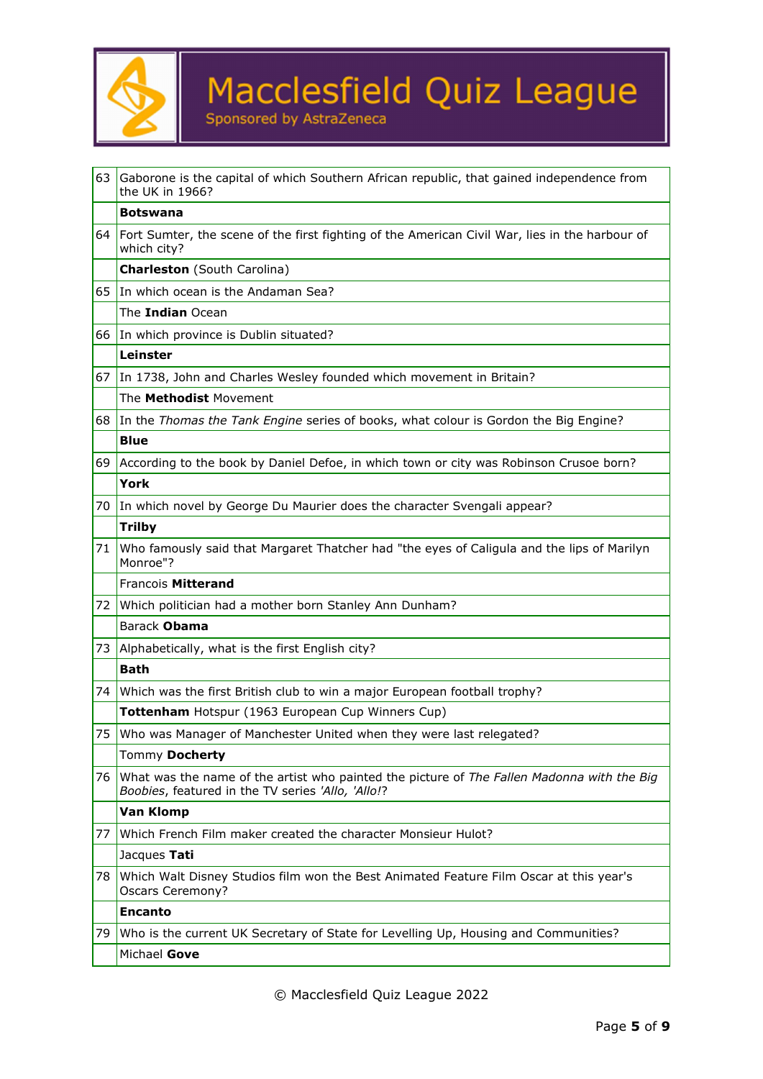

| 63               | Gaborone is the capital of which Southern African republic, that gained independence from<br>the UK in 1966?                                    |  |  |
|------------------|-------------------------------------------------------------------------------------------------------------------------------------------------|--|--|
|                  | <b>Botswana</b>                                                                                                                                 |  |  |
|                  | 64 Fort Sumter, the scene of the first fighting of the American Civil War, lies in the harbour of<br>which city?                                |  |  |
|                  | <b>Charleston</b> (South Carolina)                                                                                                              |  |  |
| 65               | In which ocean is the Andaman Sea?                                                                                                              |  |  |
|                  | The Indian Ocean                                                                                                                                |  |  |
| 66               | In which province is Dublin situated?                                                                                                           |  |  |
|                  | Leinster                                                                                                                                        |  |  |
| 67               | In 1738, John and Charles Wesley founded which movement in Britain?                                                                             |  |  |
|                  | The Methodist Movement                                                                                                                          |  |  |
|                  | 68 In the Thomas the Tank Engine series of books, what colour is Gordon the Big Engine?                                                         |  |  |
|                  | <b>Blue</b>                                                                                                                                     |  |  |
| 69               | According to the book by Daniel Defoe, in which town or city was Robinson Crusoe born?                                                          |  |  |
|                  | <b>York</b>                                                                                                                                     |  |  |
| 70               | In which novel by George Du Maurier does the character Svengali appear?                                                                         |  |  |
|                  | <b>Trilby</b>                                                                                                                                   |  |  |
| 71               | Who famously said that Margaret Thatcher had "the eyes of Caligula and the lips of Marilyn<br>Monroe"?                                          |  |  |
|                  | Francois Mitterand                                                                                                                              |  |  |
| 72               | Which politician had a mother born Stanley Ann Dunham?                                                                                          |  |  |
| Barack Obama     |                                                                                                                                                 |  |  |
| 73               | Alphabetically, what is the first English city?                                                                                                 |  |  |
|                  | <b>Bath</b>                                                                                                                                     |  |  |
| 74               | Which was the first British club to win a major European football trophy?                                                                       |  |  |
|                  | Tottenham Hotspur (1963 European Cup Winners Cup)                                                                                               |  |  |
|                  | 75 Who was Manager of Manchester United when they were last relegated?                                                                          |  |  |
|                  | Tommy Docherty                                                                                                                                  |  |  |
| 76               | What was the name of the artist who painted the picture of The Fallen Madonna with the Big<br>Boobies, featured in the TV series 'Allo, 'Allo!? |  |  |
| <b>Van Klomp</b> |                                                                                                                                                 |  |  |
| 77               | Which French Film maker created the character Monsieur Hulot?                                                                                   |  |  |
|                  | Jacques Tati                                                                                                                                    |  |  |
| 78               | Which Walt Disney Studios film won the Best Animated Feature Film Oscar at this year's<br><b>Oscars Ceremony?</b>                               |  |  |
|                  | <b>Encanto</b>                                                                                                                                  |  |  |
| 79               | Who is the current UK Secretary of State for Levelling Up, Housing and Communities?                                                             |  |  |
|                  | Michael Gove                                                                                                                                    |  |  |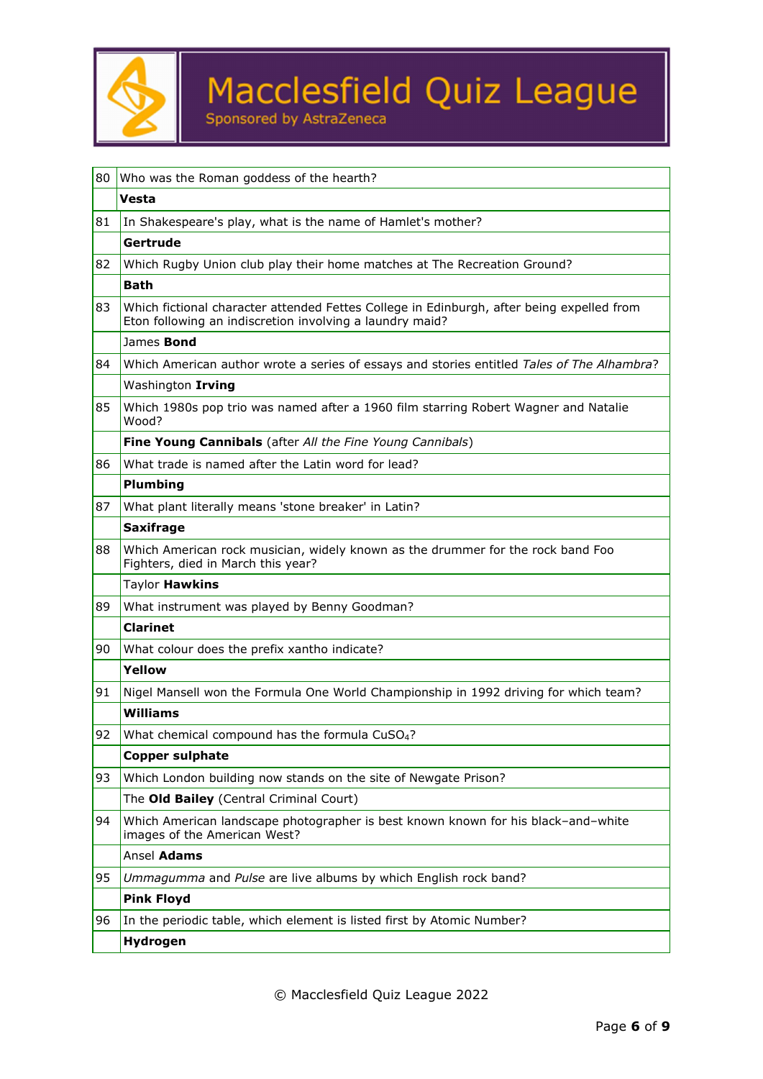

| 80                                                       | Who was the Roman goddess of the hearth?                                                                                                              |  |  |  |
|----------------------------------------------------------|-------------------------------------------------------------------------------------------------------------------------------------------------------|--|--|--|
|                                                          | Vesta                                                                                                                                                 |  |  |  |
| 81                                                       | In Shakespeare's play, what is the name of Hamlet's mother?                                                                                           |  |  |  |
|                                                          | Gertrude                                                                                                                                              |  |  |  |
| 82                                                       | Which Rugby Union club play their home matches at The Recreation Ground?                                                                              |  |  |  |
|                                                          | <b>Bath</b>                                                                                                                                           |  |  |  |
| 83                                                       | Which fictional character attended Fettes College in Edinburgh, after being expelled from<br>Eton following an indiscretion involving a laundry maid? |  |  |  |
|                                                          | James Bond                                                                                                                                            |  |  |  |
| 84                                                       | Which American author wrote a series of essays and stories entitled Tales of The Alhambra?                                                            |  |  |  |
|                                                          | Washington Irving                                                                                                                                     |  |  |  |
| 85                                                       | Which 1980s pop trio was named after a 1960 film starring Robert Wagner and Natalie<br>Wood?                                                          |  |  |  |
|                                                          | Fine Young Cannibals (after All the Fine Young Cannibals)                                                                                             |  |  |  |
| What trade is named after the Latin word for lead?<br>86 |                                                                                                                                                       |  |  |  |
|                                                          | Plumbing                                                                                                                                              |  |  |  |
| 87                                                       | What plant literally means 'stone breaker' in Latin?                                                                                                  |  |  |  |
|                                                          | <b>Saxifrage</b>                                                                                                                                      |  |  |  |
| 88                                                       | Which American rock musician, widely known as the drummer for the rock band Foo<br>Fighters, died in March this year?                                 |  |  |  |
|                                                          | Taylor Hawkins                                                                                                                                        |  |  |  |
| 89                                                       | What instrument was played by Benny Goodman?                                                                                                          |  |  |  |
|                                                          | <b>Clarinet</b>                                                                                                                                       |  |  |  |
| 90                                                       | What colour does the prefix xantho indicate?                                                                                                          |  |  |  |
|                                                          | Yellow                                                                                                                                                |  |  |  |
| 91                                                       | Nigel Mansell won the Formula One World Championship in 1992 driving for which team?                                                                  |  |  |  |
|                                                          | <b>Williams</b>                                                                                                                                       |  |  |  |
| 92                                                       | What chemical compound has the formula CuSO <sub>4</sub> ?                                                                                            |  |  |  |
|                                                          | <b>Copper sulphate</b>                                                                                                                                |  |  |  |
| 93                                                       | Which London building now stands on the site of Newgate Prison?                                                                                       |  |  |  |
|                                                          | The Old Bailey (Central Criminal Court)                                                                                                               |  |  |  |
| 94                                                       | Which American landscape photographer is best known known for his black-and-white<br>images of the American West?                                     |  |  |  |
|                                                          | Ansel Adams                                                                                                                                           |  |  |  |
| 95                                                       | Ummagumma and Pulse are live albums by which English rock band?                                                                                       |  |  |  |
|                                                          | <b>Pink Floyd</b>                                                                                                                                     |  |  |  |
| 96                                                       | In the periodic table, which element is listed first by Atomic Number?                                                                                |  |  |  |
|                                                          | Hydrogen                                                                                                                                              |  |  |  |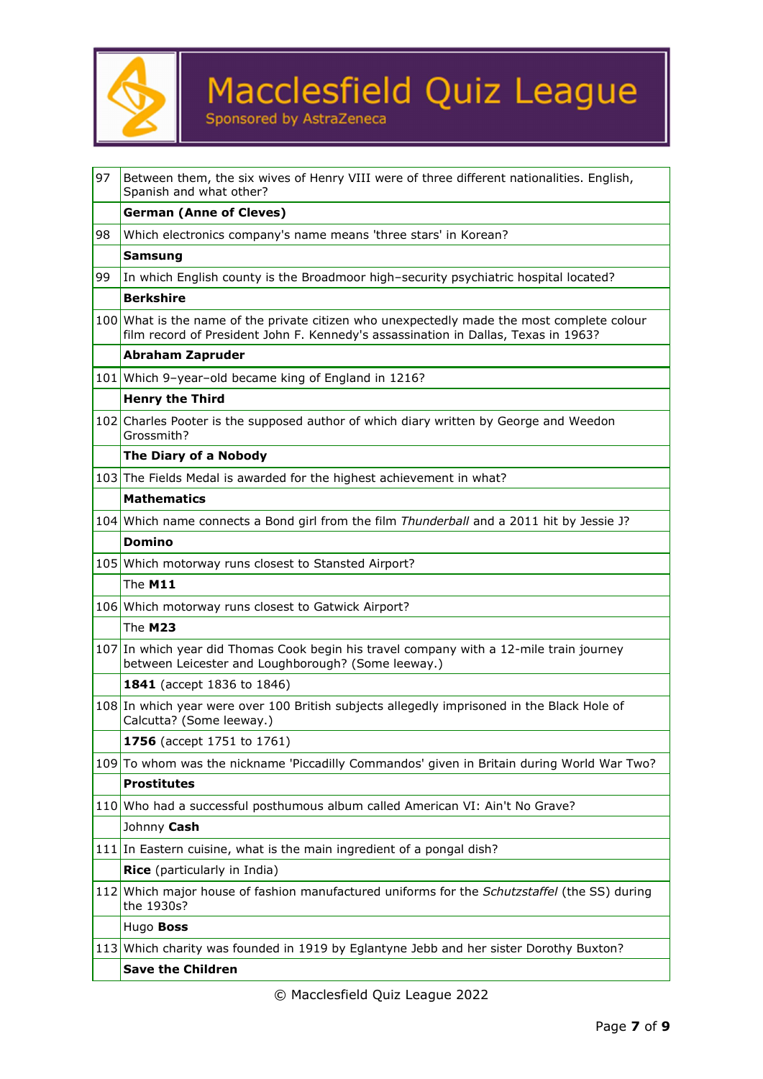

| 97 | Between them, the six wives of Henry VIII were of three different nationalities. English,<br>Spanish and what other?                                                             |  |  |
|----|----------------------------------------------------------------------------------------------------------------------------------------------------------------------------------|--|--|
|    | <b>German (Anne of Cleves)</b>                                                                                                                                                   |  |  |
| 98 | Which electronics company's name means 'three stars' in Korean?                                                                                                                  |  |  |
|    | <b>Samsung</b>                                                                                                                                                                   |  |  |
| 99 | In which English county is the Broadmoor high-security psychiatric hospital located?                                                                                             |  |  |
|    | <b>Berkshire</b>                                                                                                                                                                 |  |  |
|    | 100 What is the name of the private citizen who unexpectedly made the most complete colour<br>film record of President John F. Kennedy's assassination in Dallas, Texas in 1963? |  |  |
|    | <b>Abraham Zapruder</b>                                                                                                                                                          |  |  |
|    | 101 Which 9-year-old became king of England in 1216?                                                                                                                             |  |  |
|    | <b>Henry the Third</b>                                                                                                                                                           |  |  |
|    | 102 Charles Pooter is the supposed author of which diary written by George and Weedon<br>Grossmith?                                                                              |  |  |
|    | The Diary of a Nobody                                                                                                                                                            |  |  |
|    | 103 The Fields Medal is awarded for the highest achievement in what?                                                                                                             |  |  |
|    | <b>Mathematics</b>                                                                                                                                                               |  |  |
|    | 104 Which name connects a Bond girl from the film Thunderball and a 2011 hit by Jessie J?                                                                                        |  |  |
|    | <b>Domino</b>                                                                                                                                                                    |  |  |
|    | 105 Which motorway runs closest to Stansted Airport?                                                                                                                             |  |  |
|    | <b>The M11</b>                                                                                                                                                                   |  |  |
|    | 106 Which motorway runs closest to Gatwick Airport?                                                                                                                              |  |  |
|    | The M23                                                                                                                                                                          |  |  |
|    | 107 In which year did Thomas Cook begin his travel company with a 12-mile train journey<br>between Leicester and Loughborough? (Some leeway.)                                    |  |  |
|    | 1841 (accept 1836 to 1846)                                                                                                                                                       |  |  |
|    | 108 In which year were over 100 British subjects allegedly imprisoned in the Black Hole of<br>Calcutta? (Some leeway.)                                                           |  |  |
|    | 1756 (accept 1751 to 1761)                                                                                                                                                       |  |  |
|    | 109 To whom was the nickname 'Piccadilly Commandos' given in Britain during World War Two?                                                                                       |  |  |
|    | <b>Prostitutes</b>                                                                                                                                                               |  |  |
|    | 110 Who had a successful posthumous album called American VI: Ain't No Grave?                                                                                                    |  |  |
|    | Johnny Cash                                                                                                                                                                      |  |  |
|    | 111 In Eastern cuisine, what is the main ingredient of a pongal dish?                                                                                                            |  |  |
|    | Rice (particularly in India)                                                                                                                                                     |  |  |
|    | 112 Which major house of fashion manufactured uniforms for the Schutzstaffel (the SS) during<br>the 1930s?                                                                       |  |  |
|    | Hugo Boss                                                                                                                                                                        |  |  |
|    | 113 Which charity was founded in 1919 by Eglantyne Jebb and her sister Dorothy Buxton?                                                                                           |  |  |
|    | <b>Save the Children</b>                                                                                                                                                         |  |  |
|    |                                                                                                                                                                                  |  |  |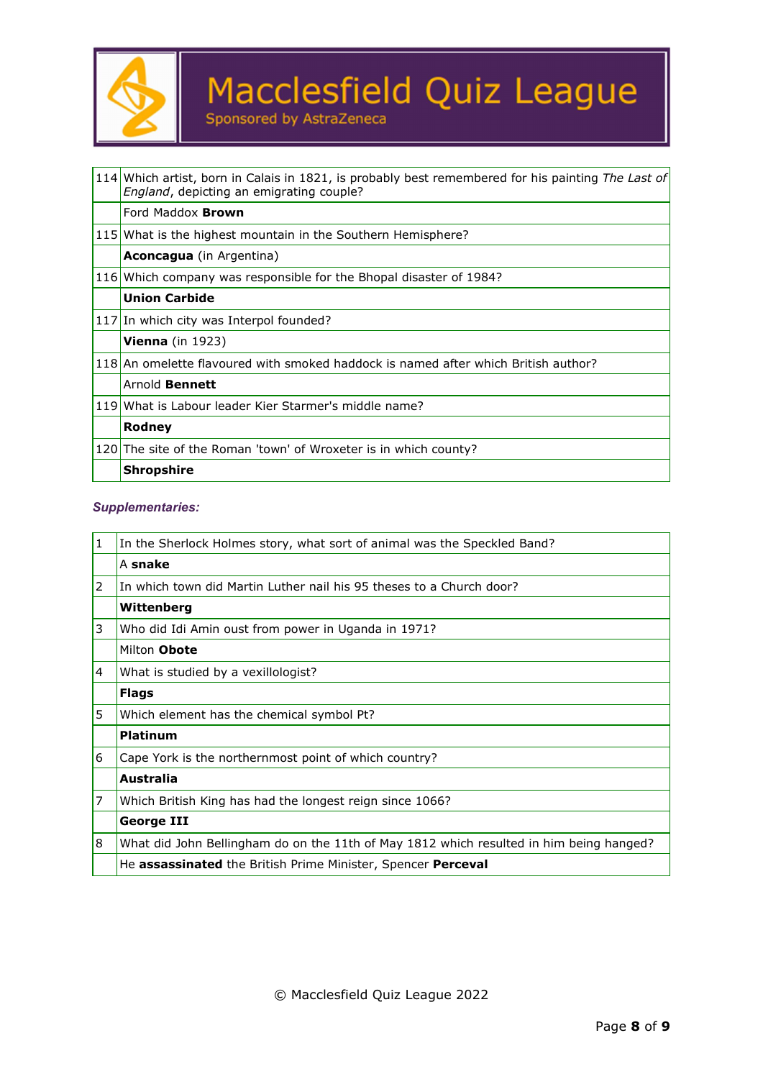

|  | ponsored by AstraZeneca |
|--|-------------------------|
|  |                         |

| 114 Which artist, born in Calais in 1821, is probably best remembered for his painting The Last of<br>England, depicting an emigrating couple? |  |  |
|------------------------------------------------------------------------------------------------------------------------------------------------|--|--|
| Ford Maddox <b>Brown</b>                                                                                                                       |  |  |
| 115 What is the highest mountain in the Southern Hemisphere?                                                                                   |  |  |
| <b>Aconcagua</b> (in Argentina)                                                                                                                |  |  |
| 116 Which company was responsible for the Bhopal disaster of 1984?                                                                             |  |  |
| <b>Union Carbide</b>                                                                                                                           |  |  |
| 117 In which city was Interpol founded?                                                                                                        |  |  |
| <b>Vienna</b> (in $1923$ )                                                                                                                     |  |  |
| 118 An omelette flavoured with smoked haddock is named after which British author?                                                             |  |  |
| Arnold <b>Bennett</b>                                                                                                                          |  |  |
| 119 What is Labour leader Kier Starmer's middle name?                                                                                          |  |  |
| Rodney                                                                                                                                         |  |  |
| 120 The site of the Roman 'town' of Wroxeter is in which county?                                                                               |  |  |
| <b>Shropshire</b>                                                                                                                              |  |  |

### *Supplementaries:*

| 1 | In the Sherlock Holmes story, what sort of animal was the Speckled Band?                |  |  |
|---|-----------------------------------------------------------------------------------------|--|--|
|   | A snake                                                                                 |  |  |
| 2 | In which town did Martin Luther nail his 95 theses to a Church door?                    |  |  |
|   | Wittenberg                                                                              |  |  |
| 3 | Who did Idi Amin oust from power in Uganda in 1971?                                     |  |  |
|   | Milton Obote                                                                            |  |  |
| 4 | What is studied by a vexillologist?                                                     |  |  |
|   | <b>Flags</b>                                                                            |  |  |
| 5 | Which element has the chemical symbol Pt?                                               |  |  |
|   | <b>Platinum</b>                                                                         |  |  |
| 6 | Cape York is the northernmost point of which country?                                   |  |  |
|   | Australia                                                                               |  |  |
| 7 | Which British King has had the longest reign since 1066?                                |  |  |
|   | George III                                                                              |  |  |
| 8 | What did John Bellingham do on the 11th of May 1812 which resulted in him being hanged? |  |  |
|   | He assassinated the British Prime Minister, Spencer Perceval                            |  |  |
|   |                                                                                         |  |  |